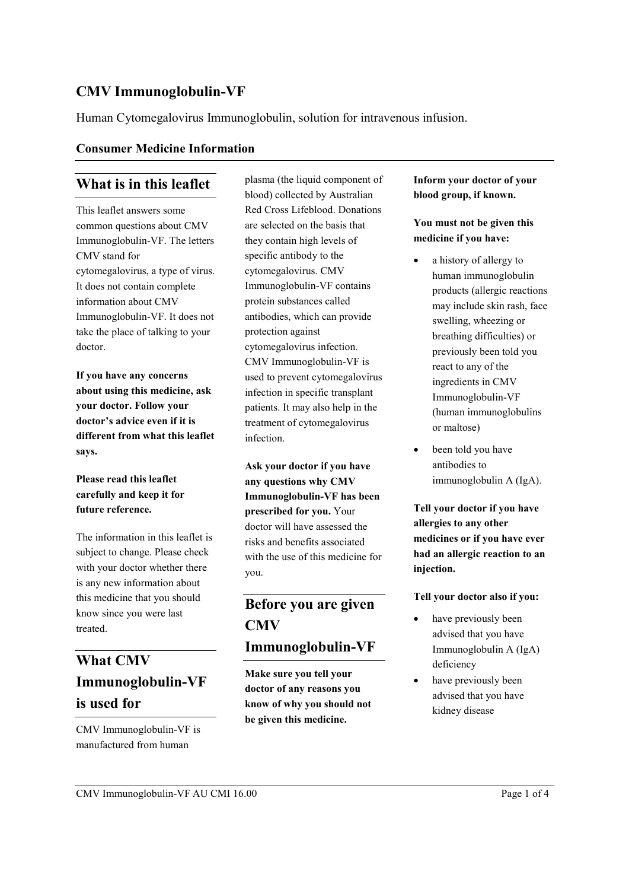## **CMV Immunoglobulin-VF**

Human Cytomegalovirus Immunoglobulin, solution for intravenous infusion.

#### **Consumer Medicine Information**

## **What is in this leaflet**

This leaflet answers some common questions about CMV Immunoglobulin-VF. The letters CMV stand for cytomegalovirus, a type of virus. It does not contain complete information about CMV Immunoglobulin-VF. It does not take the place of talking to your doctor.

**If you have any concerns about using this medicine, ask your doctor. Follow your doctor's advice even if it is different from what this leaflet says.**

### **Please read this leaflet carefully and keep it for future reference.**

The information in this leaflet is subject to change. Please check with your doctor whether there is any new information about this medicine that you should know since you were last treated.

# **What CMV Immunoglobulin-VF is used for**

CMV Immunoglobulin-VF is manufactured from human

plasma (the liquid component of blood) collected by Australian Red Cross Lifeblood. Donations are selected on the basis that they contain high levels of specific antibody to the cytomegalovirus. CMV Immunoglobulin-VF contains protein substances called antibodies, which can provide protection against cytomegalovirus infection. CMV Immunoglobulin-VF is used to prevent cytomegalovirus infection in specific transplant patients. It may also help in the treatment of cytomegalovirus infection.

**Ask your doctor if you have any questions why CMV Immunoglobulin-VF has been prescribed for you.** Your doctor will have assessed the risks and benefits associated with the use of this medicine for you.

# **Before you are given CMV Immunoglobulin-VF**

**Make sure you tell your doctor of any reasons you know of why you should not be given this medicine.**

### **Inform your doctor of your blood group, if known.**

### **You must not be given this medicine if you have:**

- a history of allergy to human immunoglobulin products (allergic reactions may include skin rash, face swelling, wheezing or breathing difficulties) or previously been told you react to any of the ingredients in CMV Immunoglobulin-VF (human immunoglobulins or maltose)
- been told you have antibodies to immunoglobulin A (IgA).

**Tell your doctor if you have allergies to any other medicines or if you have ever had an allergic reaction to an injection.**

#### **Tell your doctor also if you:**

- have previously been advised that you have Immunoglobulin A (IgA) deficiency
- have previously been advised that you have kidney disease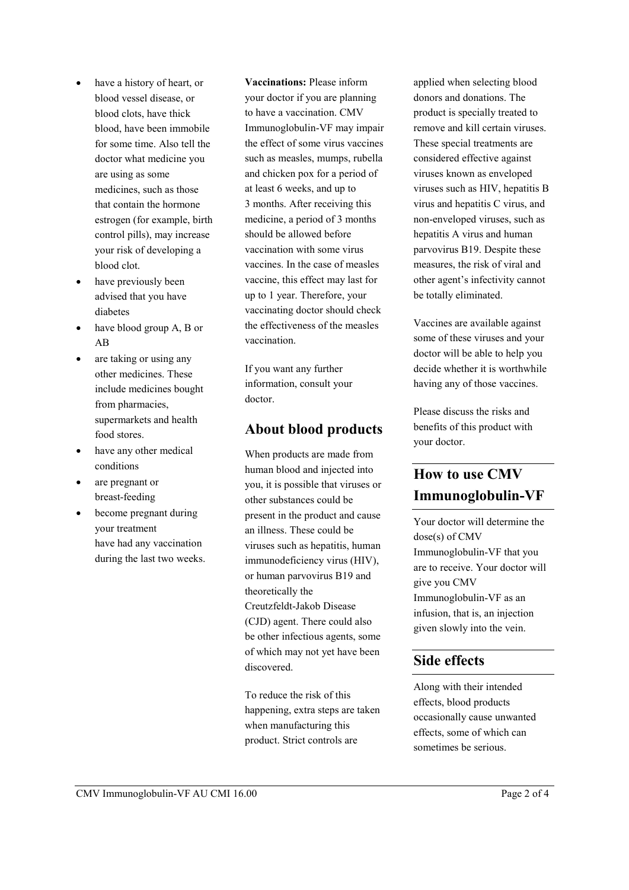- have a history of heart, or blood vessel disease, or blood clots, have thick blood, have been immobile for some time. Also tell the doctor what medicine you are using as some medicines, such as those that contain the hormone estrogen (for example, birth control pills), may increase your risk of developing a blood clot.
- have previously been advised that you have diabetes
- have blood group A, B or AB
- are taking or using any other medicines. These include medicines bought from pharmacies, supermarkets and health food stores.
- have any other medical conditions
- are pregnant or breast-feeding
- become pregnant during your treatment have had any vaccination during the last two weeks.

**Vaccinations:** Please inform your doctor if you are planning to have a vaccination. CMV Immunoglobulin-VF may impair the effect of some virus vaccines such as measles, mumps, rubella and chicken pox for a period of at least 6 weeks, and up to 3 months. After receiving this medicine, a period of 3 months should be allowed before vaccination with some virus vaccines. In the case of measles vaccine, this effect may last for up to 1 year. Therefore, your vaccinating doctor should check the effectiveness of the measles vaccination.

If you want any further information, consult your doctor.

### **About blood products**

When products are made from human blood and injected into you, it is possible that viruses or other substances could be present in the product and cause an illness. These could be viruses such as hepatitis, human immunodeficiency virus (HIV), or human parvovirus B19 and theoretically the Creutzfeldt-Jakob Disease (CJD) agent. There could also be other infectious agents, some of which may not yet have been discovered.

To reduce the risk of this happening, extra steps are taken when manufacturing this product. Strict controls are

applied when selecting blood donors and donations. The product is specially treated to remove and kill certain viruses. These special treatments are considered effective against viruses known as enveloped viruses such as HIV, hepatitis B virus and hepatitis C virus, and non-enveloped viruses, such as hepatitis A virus and human parvovirus B19. Despite these measures, the risk of viral and other agent's infectivity cannot be totally eliminated.

Vaccines are available against some of these viruses and your doctor will be able to help you decide whether it is worthwhile having any of those vaccines.

Please discuss the risks and benefits of this product with your doctor.

# **How to use CMV Immunoglobulin-VF**

Your doctor will determine the dose(s) of CMV Immunoglobulin-VF that you are to receive. Your doctor will give you CMV Immunoglobulin-VF as an infusion, that is, an injection given slowly into the vein.

### **Side effects**

Along with their intended effects, blood products occasionally cause unwanted effects, some of which can sometimes be serious.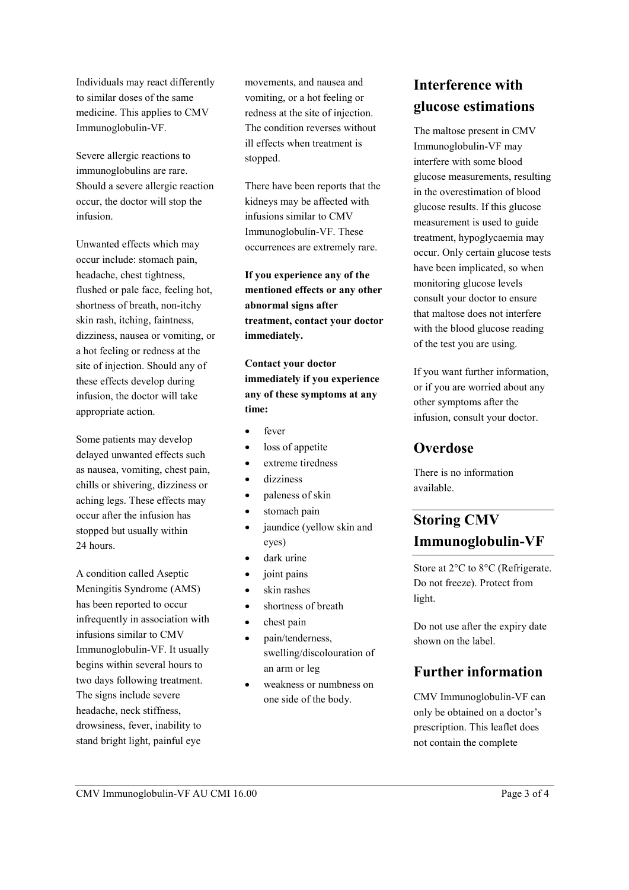Individuals may react differently to similar doses of the same medicine. This applies to CMV Immunoglobulin-VF.

Severe allergic reactions to immunoglobulins are rare. Should a severe allergic reaction occur, the doctor will stop the infusion.

Unwanted effects which may occur include: stomach pain, headache, chest tightness, flushed or pale face, feeling hot, shortness of breath, non-itchy skin rash, itching, faintness, dizziness, nausea or vomiting, or a hot feeling or redness at the site of injection. Should any of these effects develop during infusion, the doctor will take appropriate action.

Some patients may develop delayed unwanted effects such as nausea, vomiting, chest pain, chills or shivering, dizziness or aching legs. These effects may occur after the infusion has stopped but usually within 24 hours.

A condition called Aseptic Meningitis Syndrome (AMS) has been reported to occur infrequently in association with infusions similar to CMV Immunoglobulin-VF. It usually begins within several hours to two days following treatment. The signs include severe headache, neck stiffness, drowsiness, fever, inability to stand bright light, painful eye

movements, and nausea and vomiting, or a hot feeling or redness at the site of injection. The condition reverses without ill effects when treatment is stopped.

There have been reports that the kidneys may be affected with infusions similar to CMV Immunoglobulin-VF. These occurrences are extremely rare.

**If you experience any of the mentioned effects or any other abnormal signs after treatment, contact your doctor immediately.**

**Contact your doctor immediately if you experience any of these symptoms at any time:**

- fever
- loss of appetite
- extreme tiredness
- dizziness
- paleness of skin
- stomach pain
- jaundice (yellow skin and eyes)
- dark urine
- joint pains
- skin rashes
- shortness of breath
- chest pain
- pain/tenderness, swelling/discolouration of an arm or leg
- weakness or numbness on one side of the body.

# **Interference with glucose estimations**

The maltose present in CMV Immunoglobulin-VF may interfere with some blood glucose measurements, resulting in the overestimation of blood glucose results. If this glucose measurement is used to guide treatment, hypoglycaemia may occur. Only certain glucose tests have been implicated, so when monitoring glucose levels consult your doctor to ensure that maltose does not interfere with the blood glucose reading of the test you are using.

If you want further information, or if you are worried about any other symptoms after the infusion, consult your doctor.

### **Overdose**

There is no information available.

# **Storing CMV Immunoglobulin-VF**

Store at 2°C to 8°C (Refrigerate. Do not freeze). Protect from light.

Do not use after the expiry date shown on the label.

## **Further information**

CMV Immunoglobulin-VF can only be obtained on a doctor's prescription. This leaflet does not contain the complete